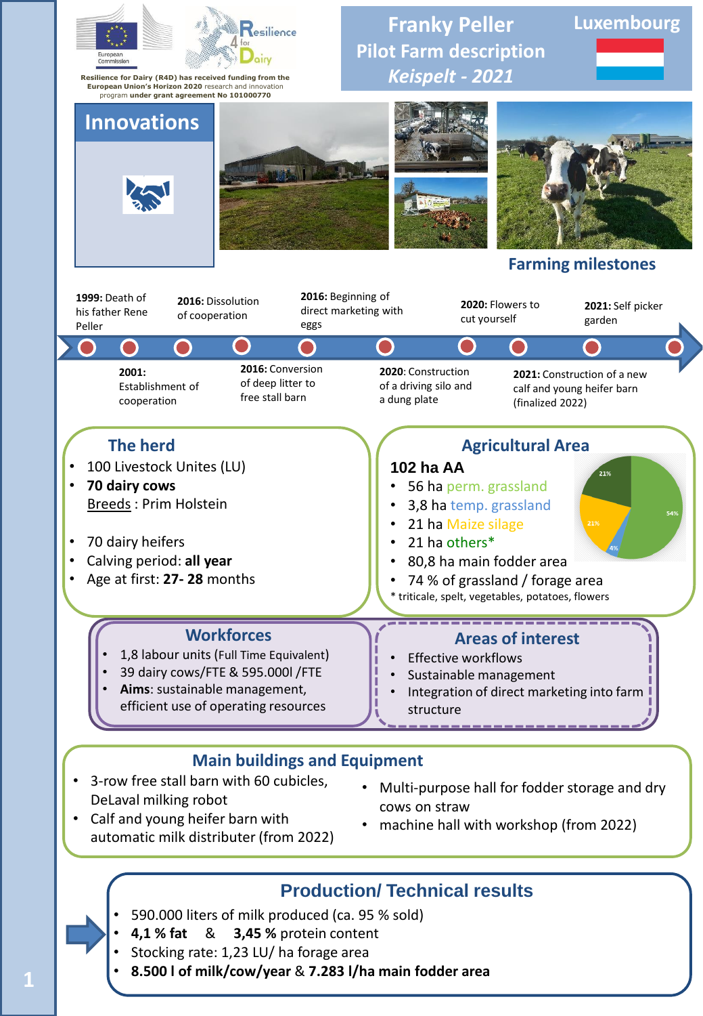